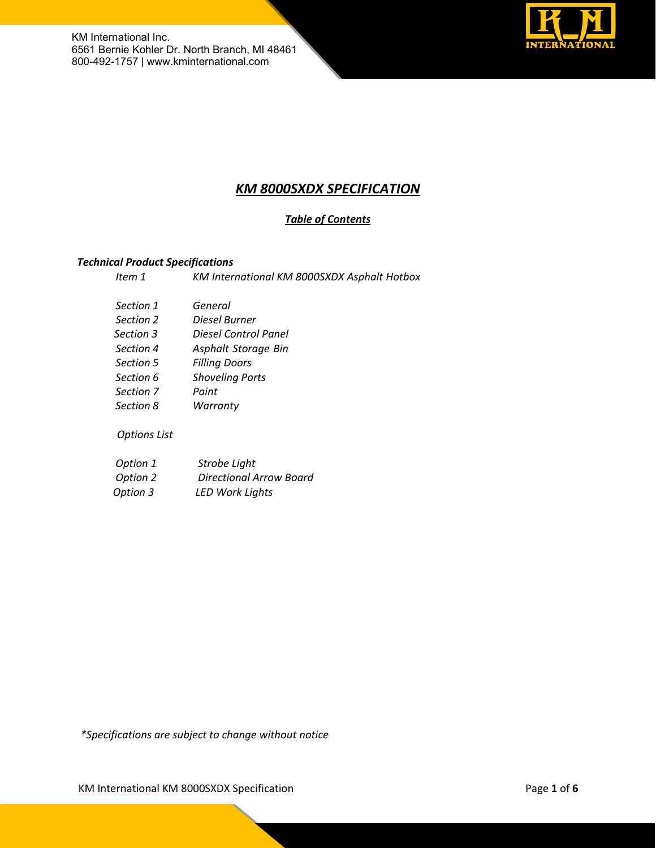

## *KM 8000SXDX SPECIFICATION*

## *Table of Contents*

## *Technical Product Specifications*

| ltem 1           | KM International KM 8000SXDX Asphalt Hotbox |
|------------------|---------------------------------------------|
| Section 1        | General                                     |
| Section 2        | Diesel Burner                               |
| Section 3        | Diesel Control Panel                        |
| Section 4        | Asphalt Storage Bin                         |
| <b>Section 5</b> | <b>Filling Doors</b>                        |
| Section 6        | <b>Shoveling Ports</b>                      |
| Section 7        | Paint                                       |
| Section 8        | Warranty                                    |
| Options List     |                                             |

| Option 1 | Strobe Light                   |
|----------|--------------------------------|
| Option 2 | <b>Directional Arrow Board</b> |
| Option 3 | <b>LED Work Lights</b>         |

*\*Specifications are subject to change without notice*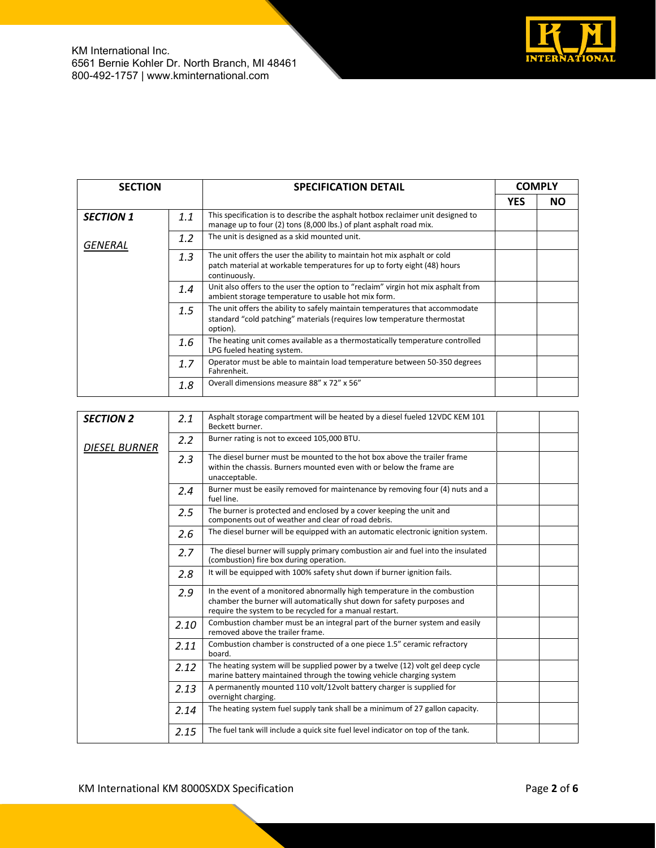

| <b>SECTION</b>   |     | <b>SPECIFICATION DETAIL</b>                                                                                                                                           | <b>COMPLY</b> |    |
|------------------|-----|-----------------------------------------------------------------------------------------------------------------------------------------------------------------------|---------------|----|
|                  |     |                                                                                                                                                                       | <b>YES</b>    | NΟ |
| <b>SECTION 1</b> | 1.1 | This specification is to describe the asphalt hotbox reclaimer unit designed to<br>manage up to four (2) tons (8,000 lbs.) of plant asphalt road mix.                 |               |    |
| GENERAL          | 1.2 | The unit is designed as a skid mounted unit.                                                                                                                          |               |    |
|                  | 1.3 | The unit offers the user the ability to maintain hot mix asphalt or cold<br>patch material at workable temperatures for up to forty eight (48) hours<br>continuously. |               |    |
|                  | 1.4 | Unit also offers to the user the option to "reclaim" virgin hot mix asphalt from<br>ambient storage temperature to usable hot mix form.                               |               |    |
|                  | 1.5 | The unit offers the ability to safely maintain temperatures that accommodate<br>standard "cold patching" materials (requires low temperature thermostat<br>option).   |               |    |
|                  | 1.6 | The heating unit comes available as a thermostatically temperature controlled<br>LPG fueled heating system.                                                           |               |    |
|                  | 1.7 | Operator must be able to maintain load temperature between 50-350 degrees<br>Fahrenheit.                                                                              |               |    |
|                  | 1.8 | Overall dimensions measure 88" x 72" x 56"                                                                                                                            |               |    |

| <b>SECTION 2</b>     | 2.1  | Asphalt storage compartment will be heated by a diesel fueled 12VDC KEM 101<br>Beckett burner.                                                                                                                  |  |
|----------------------|------|-----------------------------------------------------------------------------------------------------------------------------------------------------------------------------------------------------------------|--|
| <b>DIESEL BURNER</b> | 2.2  | Burner rating is not to exceed 105,000 BTU.                                                                                                                                                                     |  |
|                      | 2.3  | The diesel burner must be mounted to the hot box above the trailer frame<br>within the chassis. Burners mounted even with or below the frame are<br>unacceptable.                                               |  |
|                      | 2.4  | Burner must be easily removed for maintenance by removing four (4) nuts and a<br>fuel line.                                                                                                                     |  |
|                      | 2.5  | The burner is protected and enclosed by a cover keeping the unit and<br>components out of weather and clear of road debris.                                                                                     |  |
|                      | 2.6  | The diesel burner will be equipped with an automatic electronic ignition system.                                                                                                                                |  |
|                      | 2.7  | The diesel burner will supply primary combustion air and fuel into the insulated<br>(combustion) fire box during operation.                                                                                     |  |
|                      | 2.8  | It will be equipped with 100% safety shut down if burner ignition fails.                                                                                                                                        |  |
|                      | 2.9  | In the event of a monitored abnormally high temperature in the combustion<br>chamber the burner will automatically shut down for safety purposes and<br>require the system to be recycled for a manual restart. |  |
|                      | 2.10 | Combustion chamber must be an integral part of the burner system and easily<br>removed above the trailer frame.                                                                                                 |  |
|                      | 2.11 | Combustion chamber is constructed of a one piece 1.5" ceramic refractory<br>board.                                                                                                                              |  |
|                      | 2.12 | The heating system will be supplied power by a twelve (12) volt gel deep cycle<br>marine battery maintained through the towing vehicle charging system                                                          |  |
|                      | 2.13 | A permanently mounted 110 volt/12volt battery charger is supplied for<br>overnight charging.                                                                                                                    |  |
|                      | 2.14 | The heating system fuel supply tank shall be a minimum of 27 gallon capacity.                                                                                                                                   |  |
|                      | 2.15 | The fuel tank will include a quick site fuel level indicator on top of the tank.                                                                                                                                |  |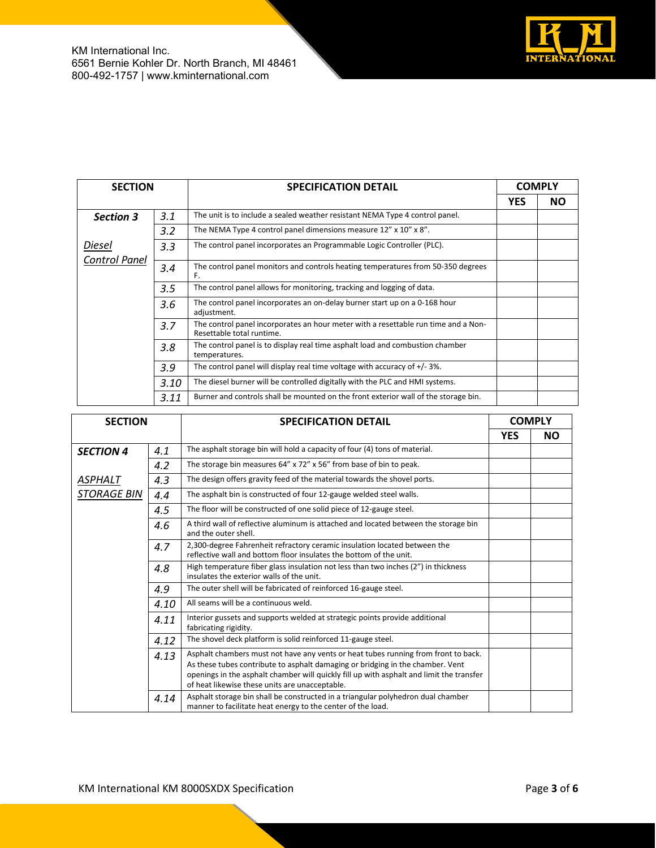

| <b>SECTION</b>          |      | <b>SPECIFICATION DETAIL</b>                                                                                     |            | <b>COMPLY</b> |  |
|-------------------------|------|-----------------------------------------------------------------------------------------------------------------|------------|---------------|--|
|                         |      |                                                                                                                 | <b>YES</b> | <b>NO</b>     |  |
| <b>Section 3</b>        | 3.1  | The unit is to include a sealed weather resistant NEMA Type 4 control panel.                                    |            |               |  |
|                         | 3.2  | The NEMA Type 4 control panel dimensions measure 12" x 10" x 8".                                                |            |               |  |
| Diesel<br>Control Panel | 3.3  | The control panel incorporates an Programmable Logic Controller (PLC).                                          |            |               |  |
|                         | 3.4  | The control panel monitors and controls heating temperatures from 50-350 degrees<br>F.                          |            |               |  |
|                         | 3.5  | The control panel allows for monitoring, tracking and logging of data.                                          |            |               |  |
|                         | 3.6  | The control panel incorporates an on-delay burner start up on a 0-168 hour<br>adjustment.                       |            |               |  |
|                         | 3.7  | The control panel incorporates an hour meter with a resettable run time and a Non-<br>Resettable total runtime. |            |               |  |
|                         | 3.8  | The control panel is to display real time asphalt load and combustion chamber<br>temperatures.                  |            |               |  |
|                         | 3.9  | The control panel will display real time voltage with accuracy of +/-3%.                                        |            |               |  |
|                         | 3.10 | The diesel burner will be controlled digitally with the PLC and HMI systems.                                    |            |               |  |
|                         | 3.11 | Burner and controls shall be mounted on the front exterior wall of the storage bin.                             |            |               |  |

| <b>SECTION</b>            |      | <b>SPECIFICATION DETAIL</b>                                                                                                                                                                                                                                                                                        |            | <b>COMPLY</b> |
|---------------------------|------|--------------------------------------------------------------------------------------------------------------------------------------------------------------------------------------------------------------------------------------------------------------------------------------------------------------------|------------|---------------|
|                           |      |                                                                                                                                                                                                                                                                                                                    | <b>YES</b> | <b>NO</b>     |
| <b>SECTION 4</b>          | 4.1  | The asphalt storage bin will hold a capacity of four (4) tons of material.                                                                                                                                                                                                                                         |            |               |
|                           | 4.2  | The storage bin measures 64" x 72" x 56" from base of bin to peak.                                                                                                                                                                                                                                                 |            |               |
| ASPHALT                   | 4.3  | The design offers gravity feed of the material towards the shovel ports.                                                                                                                                                                                                                                           |            |               |
| <i><b>STORAGE BIN</b></i> | 4.4  | The asphalt bin is constructed of four 12-gauge welded steel walls.                                                                                                                                                                                                                                                |            |               |
|                           | 4.5  | The floor will be constructed of one solid piece of 12-gauge steel.                                                                                                                                                                                                                                                |            |               |
|                           | 4.6  | A third wall of reflective aluminum is attached and located between the storage bin<br>and the outer shell.                                                                                                                                                                                                        |            |               |
|                           | 4.7  | 2,300-degree Fahrenheit refractory ceramic insulation located between the<br>reflective wall and bottom floor insulates the bottom of the unit.                                                                                                                                                                    |            |               |
|                           | 4.8  | High temperature fiber glass insulation not less than two inches (2") in thickness<br>insulates the exterior walls of the unit.                                                                                                                                                                                    |            |               |
|                           | 4.9  | The outer shell will be fabricated of reinforced 16-gauge steel.                                                                                                                                                                                                                                                   |            |               |
|                           | 4.10 | All seams will be a continuous weld.                                                                                                                                                                                                                                                                               |            |               |
|                           | 4.11 | Interior gussets and supports welded at strategic points provide additional<br>fabricating rigidity.                                                                                                                                                                                                               |            |               |
|                           | 4.12 | The shovel deck platform is solid reinforced 11-gauge steel.                                                                                                                                                                                                                                                       |            |               |
|                           | 4.13 | Asphalt chambers must not have any vents or heat tubes running from front to back.<br>As these tubes contribute to asphalt damaging or bridging in the chamber. Vent<br>openings in the asphalt chamber will quickly fill up with asphalt and limit the transfer<br>of heat likewise these units are unacceptable. |            |               |
|                           | 4.14 | Asphalt storage bin shall be constructed in a triangular polyhedron dual chamber<br>manner to facilitate heat energy to the center of the load.                                                                                                                                                                    |            |               |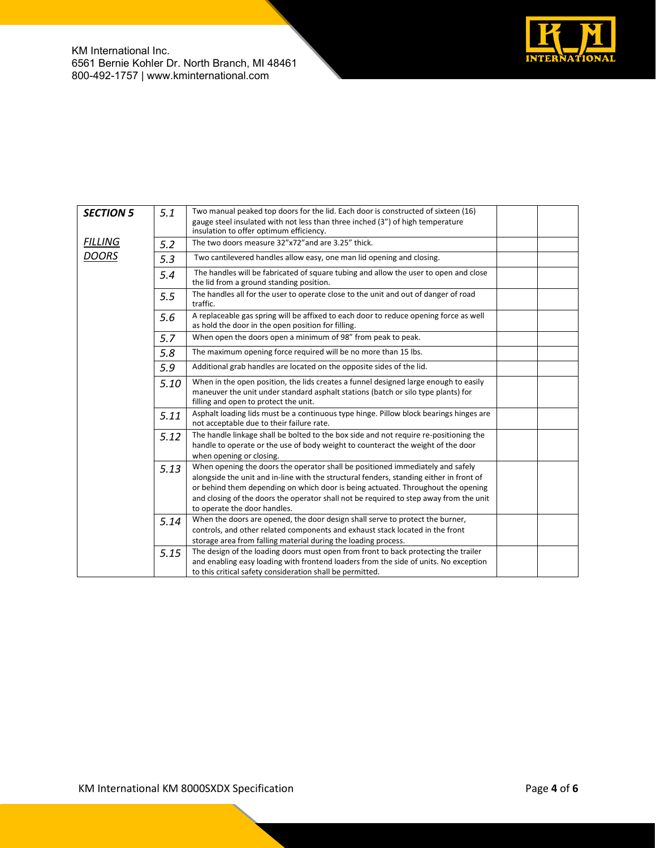

| <b>SECTION 5</b> | 5.1  | Two manual peaked top doors for the lid. Each door is constructed of sixteen (16)<br>gauge steel insulated with not less than three inched (3") of high temperature                                                                                                                                                                                                                     |  |
|------------------|------|-----------------------------------------------------------------------------------------------------------------------------------------------------------------------------------------------------------------------------------------------------------------------------------------------------------------------------------------------------------------------------------------|--|
| <b>FILLING</b>   | 5.2  | insulation to offer optimum efficiency.<br>The two doors measure 32"x72" and are 3.25" thick.                                                                                                                                                                                                                                                                                           |  |
| <u>DOORS</u>     | 5.3  | Two cantilevered handles allow easy, one man lid opening and closing.                                                                                                                                                                                                                                                                                                                   |  |
|                  | 5.4  | The handles will be fabricated of square tubing and allow the user to open and close<br>the lid from a ground standing position.                                                                                                                                                                                                                                                        |  |
|                  | 5.5  | The handles all for the user to operate close to the unit and out of danger of road<br>traffic.                                                                                                                                                                                                                                                                                         |  |
|                  | 5.6  | A replaceable gas spring will be affixed to each door to reduce opening force as well<br>as hold the door in the open position for filling.                                                                                                                                                                                                                                             |  |
|                  | 5.7  | When open the doors open a minimum of 98" from peak to peak.                                                                                                                                                                                                                                                                                                                            |  |
|                  | 5.8  | The maximum opening force required will be no more than 15 lbs.                                                                                                                                                                                                                                                                                                                         |  |
|                  | 5.9  | Additional grab handles are located on the opposite sides of the lid.                                                                                                                                                                                                                                                                                                                   |  |
|                  | 5.10 | When in the open position, the lids creates a funnel designed large enough to easily<br>maneuver the unit under standard asphalt stations (batch or silo type plants) for<br>filling and open to protect the unit.                                                                                                                                                                      |  |
|                  | 5.11 | Asphalt loading lids must be a continuous type hinge. Pillow block bearings hinges are<br>not acceptable due to their failure rate.                                                                                                                                                                                                                                                     |  |
|                  | 5.12 | The handle linkage shall be bolted to the box side and not require re-positioning the<br>handle to operate or the use of body weight to counteract the weight of the door<br>when opening or closing.                                                                                                                                                                                   |  |
|                  | 5.13 | When opening the doors the operator shall be positioned immediately and safely<br>alongside the unit and in-line with the structural fenders, standing either in front of<br>or behind them depending on which door is being actuated. Throughout the opening<br>and closing of the doors the operator shall not be required to step away from the unit<br>to operate the door handles. |  |
|                  | 5.14 | When the doors are opened, the door design shall serve to protect the burner,<br>controls, and other related components and exhaust stack located in the front<br>storage area from falling material during the loading process.                                                                                                                                                        |  |
|                  | 5.15 | The design of the loading doors must open from front to back protecting the trailer<br>and enabling easy loading with frontend loaders from the side of units. No exception<br>to this critical safety consideration shall be permitted.                                                                                                                                                |  |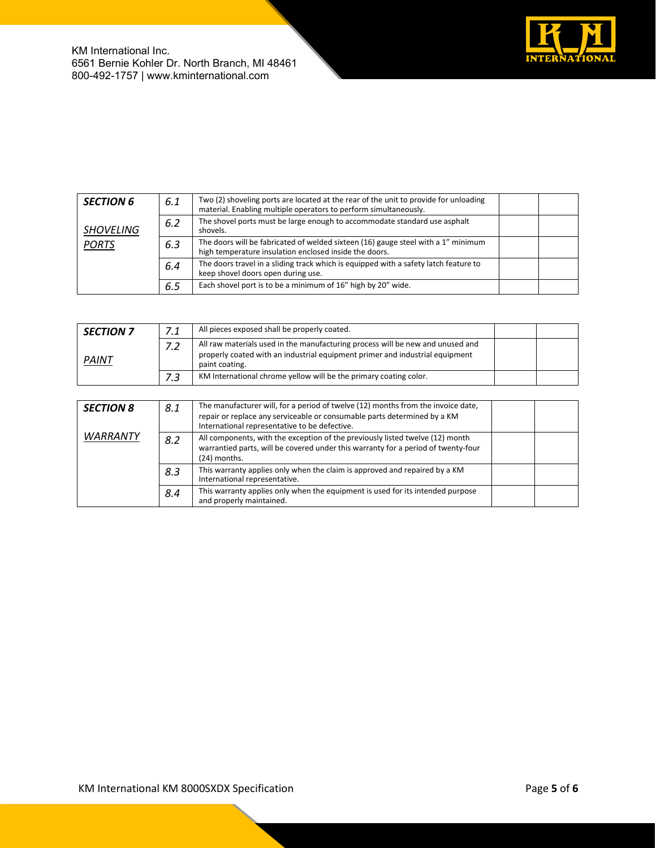

| <b>SECTION 6</b> | 6.1 | Two (2) shoveling ports are located at the rear of the unit to provide for unloading<br>material. Enabling multiple operators to perform simultaneously. |  |
|------------------|-----|----------------------------------------------------------------------------------------------------------------------------------------------------------|--|
| <b>SHOVELING</b> | 6.2 | The shovel ports must be large enough to accommodate standard use asphalt<br>shovels.                                                                    |  |
| <b>PORTS</b>     | 6.3 | The doors will be fabricated of welded sixteen (16) gauge steel with a 1" minimum<br>high temperature insulation enclosed inside the doors.              |  |
|                  | 6.4 | The doors travel in a sliding track which is equipped with a safety latch feature to<br>keep shovel doors open during use.                               |  |
|                  | 6.5 | Each shovel port is to be a minimum of 16" high by 20" wide.                                                                                             |  |

| <b>SECTION 7</b> | 7.1 | All pieces exposed shall be properly coated.                                                                                                                                                                  |  |
|------------------|-----|---------------------------------------------------------------------------------------------------------------------------------------------------------------------------------------------------------------|--|
| PAINT            | 7.2 | All raw materials used in the manufacturing process will be new and unused and<br>properly coated with an industrial equipment primer and industrial equipment<br>paint coating.                              |  |
|                  | 7.3 | KM International chrome yellow will be the primary coating color.                                                                                                                                             |  |
|                  |     |                                                                                                                                                                                                               |  |
| <b>SECTION 8</b> | 8.1 | The manufacturer will, for a period of twelve (12) months from the invoice date,<br>repair or replace any serviceable or consumable parts determined by a KM<br>International representative to be defective. |  |
| WARRANTY         | 8.2 | All components, with the exception of the previously listed twelve (12) month<br>warrantied parts, will be covered under this warranty for a period of twenty-four<br>(24) months.                            |  |
|                  | 8.3 | This warranty applies only when the claim is approved and repaired by a KM<br>International representative.                                                                                                   |  |

8.4 This warranty applies only when the equipment is used for its intended purpose

and properly maintained.